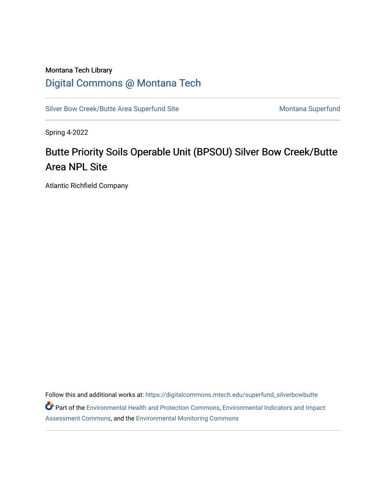# Montana Tech Library [Digital Commons @ Montana Tech](https://digitalcommons.mtech.edu/)

[Silver Bow Creek/Butte Area Superfund Site](https://digitalcommons.mtech.edu/superfund_silverbowbutte) Montana Superfund

Spring 4-2022

# Butte Priority Soils Operable Unit (BPSOU) Silver Bow Creek/Butte Area NPL Site

Atlantic Richfield Company

Follow this and additional works at: [https://digitalcommons.mtech.edu/superfund\\_silverbowbutte](https://digitalcommons.mtech.edu/superfund_silverbowbutte?utm_source=digitalcommons.mtech.edu%2Fsuperfund_silverbowbutte%2F226&utm_medium=PDF&utm_campaign=PDFCoverPages) Part of the [Environmental Health and Protection Commons,](http://network.bepress.com/hgg/discipline/172?utm_source=digitalcommons.mtech.edu%2Fsuperfund_silverbowbutte%2F226&utm_medium=PDF&utm_campaign=PDFCoverPages) [Environmental Indicators and Impact](http://network.bepress.com/hgg/discipline/1015?utm_source=digitalcommons.mtech.edu%2Fsuperfund_silverbowbutte%2F226&utm_medium=PDF&utm_campaign=PDFCoverPages) [Assessment Commons,](http://network.bepress.com/hgg/discipline/1015?utm_source=digitalcommons.mtech.edu%2Fsuperfund_silverbowbutte%2F226&utm_medium=PDF&utm_campaign=PDFCoverPages) and the [Environmental Monitoring Commons](http://network.bepress.com/hgg/discipline/931?utm_source=digitalcommons.mtech.edu%2Fsuperfund_silverbowbutte%2F226&utm_medium=PDF&utm_campaign=PDFCoverPages)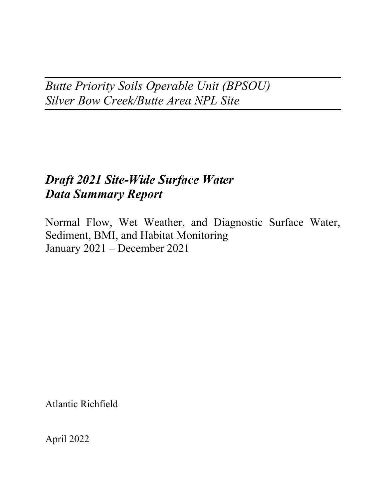*Butte Priority Soils Operable Unit (BPSOU) Silver Bow Creek/Butte Area NPL Site*

# *Draft 2021 Site-Wide Surface Water Data Summary Report*

Normal Flow, Wet Weather, and Diagnostic Surface Water, Sediment, BMI, and Habitat Monitoring January 2021 – December 2021

Atlantic Richfield

April 2022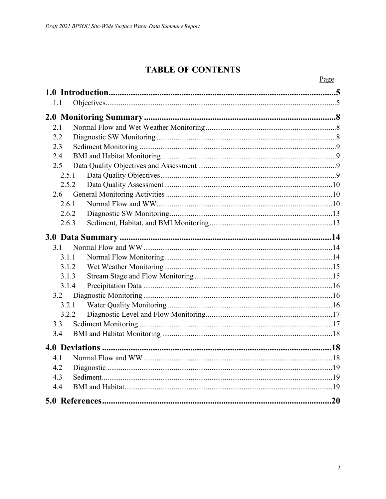# **TABLE OF CONTENTS**

|       | Page |
|-------|------|
|       |      |
| 1.1   |      |
|       |      |
|       |      |
| 2.1   |      |
| 2.2   |      |
| 2.3   |      |
| 2.4   |      |
| 2.5   |      |
| 2.5.1 |      |
| 2.5.2 |      |
| 2.6   |      |
| 2.6.1 |      |
| 2.6.2 |      |
| 2.6.3 |      |
|       |      |
| 3.1   |      |
| 3.1.1 |      |
| 3.1.2 |      |
| 3.1.3 |      |
| 3.1.4 |      |
| 3.2   |      |
| 3.2.1 |      |
| 3.2.2 |      |
| 3.3   |      |
| 3.4   |      |
|       | .18  |
|       | .18  |
| 4.2   |      |
| 4.3   |      |
| 4.4   |      |
|       |      |
|       | .20  |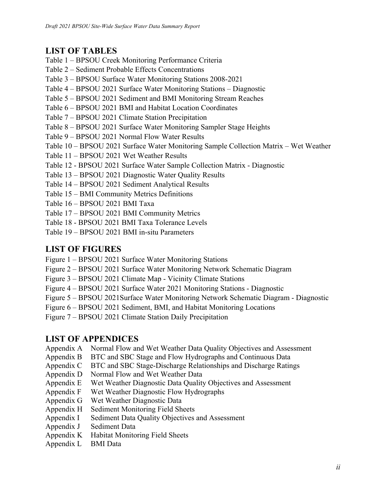### **LIST OF TABLES**

- [Table 1 BPSOU Creek Monitoring Performance Criteria](#page-7-0)
- [Table 2 Sediment Probable Effects Concentrations](#page-8-0)
- Table 3 BPSOU Surface Water Monitoring Stations 2008-2021
- Table 4 BPSOU 2021 Surface Water Monitoring Stations Diagnostic
- Table 5 BPSOU 2021 Sediment and BMI Monitoring Stream Reaches
- Table 6 BPSOU 2021 BMI and Habitat Location Coordinates
- Table 7 BPSOU 2021 Climate Station Precipitation
- Table 8 BPSOU 2021 Surface Water Monitoring Sampler Stage Heights
- Table 9 BPSOU 2021 Normal Flow Water Results
- Table 10 BPSOU 2021 Surface Water Monitoring Sample Collection Matrix Wet Weather
- Table 11 BPSOU 2021 Wet Weather Results
- Table 12 BPSOU 2021 Surface Water Sample Collection Matrix Diagnostic
- Table 13 BPSOU 2021 Diagnostic Water Quality Results
- Table 14 BPSOU 2021 Sediment Analytical Results
- Table 15 BMI Community Metrics Definitions
- Table 16 BPSOU 2021 BMI Taxa
- Table 17 BPSOU 2021 BMI Community Metrics
- Table 18 BPSOU 2021 BMI Taxa Tolerance Levels
- Table 19 BPSOU 2021 BMI in-situ Parameters

### **LIST OF FIGURES**

- Figure 1 BPSOU 2021 Surface Water Monitoring Stations
- Figure 2 BPSOU 2021 Surface Water Monitoring Network Schematic Diagram
- Figure 3 BPSOU 2021 Climate Map Vicinity Climate Stations
- Figure 4 BPSOU 2021 Surface Water 2021 Monitoring Stations Diagnostic
- Figure 5 BPSOU 2021Surface Water Monitoring Network Schematic Diagram Diagnostic
- Figure 6 BPSOU 2021 Sediment, BMI, and Habitat Monitoring Locations
- Figure 7 BPSOU 2021 Climate Station Daily Precipitation

### **LIST OF APPENDICES**

- Appendix A Normal Flow and Wet Weather Data Quality Objectives and Assessment
- Appendix B BTC and SBC Stage and Flow Hydrographs and Continuous Data
- Appendix C BTC and SBC Stage-Discharge Relationships and Discharge Ratings
- Appendix D Normal Flow and Wet Weather Data
- Appendix E Wet Weather Diagnostic Data Quality Objectives and Assessment
- Appendix F Wet Weather Diagnostic Flow Hydrographs
- Appendix G Wet Weather Diagnostic Data
- Appendix H Sediment Monitoring Field Sheets
- Appendix I Sediment Data Quality Objectives and Assessment
- Appendix J Sediment Data
- Appendix K Habitat Monitoring Field Sheets
- Appendix L BMI Data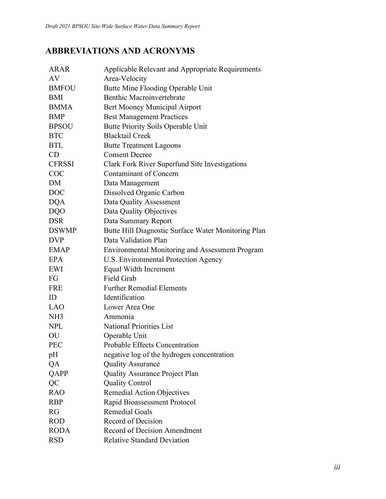# **ABBREVIATIONS AND ACRONYMS**

| <b>ARAR</b>     | Applicable Relevant and Appropriate Requirements       |
|-----------------|--------------------------------------------------------|
| AV              | Area-Velocity                                          |
| <b>BMFOU</b>    | Butte Mine Flooding Operable Unit                      |
| <b>BMI</b>      | <b>Benthic Macroinvertebrate</b>                       |
| <b>BMMA</b>     | Bert Mooney Municipal Airport                          |
| <b>BMP</b>      | <b>Best Management Practices</b>                       |
| <b>BPSOU</b>    | Butte Priority Soils Operable Unit                     |
| <b>BTC</b>      | <b>Blacktail Creek</b>                                 |
| <b>BTL</b>      | <b>Butte Treatment Lagoons</b>                         |
| CD              | <b>Consent Decree</b>                                  |
| <b>CFRSSI</b>   | Clark Fork River Superfund Site Investigations         |
| <b>COC</b>      | <b>Contaminant of Concern</b>                          |
| DM              | Data Management                                        |
| <b>DOC</b>      | Dissolved Organic Carbon                               |
| <b>DQA</b>      | Data Quality Assessment                                |
| <b>DQO</b>      | Data Quality Objectives                                |
| <b>DSR</b>      | Data Summary Report                                    |
| <b>DSWMP</b>    | Butte Hill Diagnostic Surface Water Monitoring Plan    |
| <b>DVP</b>      | Data Validation Plan                                   |
| <b>EMAP</b>     | <b>Environmental Monitoring and Assessment Program</b> |
| EPA             | U.S. Environmental Protection Agency                   |
| EWI             | Equal Width Increment                                  |
| FG              | Field Grab                                             |
| <b>FRE</b>      | <b>Further Remedial Elements</b>                       |
| ID              | Identification                                         |
| LAO             | Lower Area One                                         |
| NH <sub>3</sub> | Ammonia                                                |
| <b>NPL</b>      | <b>National Priorities List</b>                        |
| OU              | Operable Unit                                          |
| <b>PEC</b>      | Probable Effects Concentration                         |
| pH              | negative log of the hydrogen concentration             |
| QA              | <b>Quality Assurance</b>                               |
| QAPP            | <b>Quality Assurance Project Plan</b>                  |
| QC              | <b>Quality Control</b>                                 |
| <b>RAO</b>      | <b>Remedial Action Objectives</b>                      |
| <b>RBP</b>      | Rapid Bioassessment Protocol                           |
| RG              | <b>Remedial Goals</b>                                  |
| <b>ROD</b>      | Record of Decision                                     |
| <b>RODA</b>     | <b>Record of Decision Amendment</b>                    |
| <b>RSD</b>      | <b>Relative Standard Deviation</b>                     |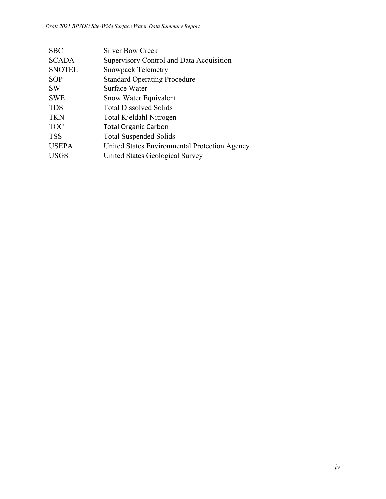| <b>SBC</b>    | Silver Bow Creek                              |
|---------------|-----------------------------------------------|
| <b>SCADA</b>  | Supervisory Control and Data Acquisition      |
| <b>SNOTEL</b> | <b>Snowpack Telemetry</b>                     |
| <b>SOP</b>    | <b>Standard Operating Procedure</b>           |
| <b>SW</b>     | Surface Water                                 |
| <b>SWE</b>    | Snow Water Equivalent                         |
| <b>TDS</b>    | <b>Total Dissolved Solids</b>                 |
| <b>TKN</b>    | Total Kjeldahl Nitrogen                       |
| <b>TOC</b>    | <b>Total Organic Carbon</b>                   |
| <b>TSS</b>    | <b>Total Suspended Solids</b>                 |
| <b>USEPA</b>  | United States Environmental Protection Agency |
| <b>USGS</b>   | United States Geological Survey               |
|               |                                               |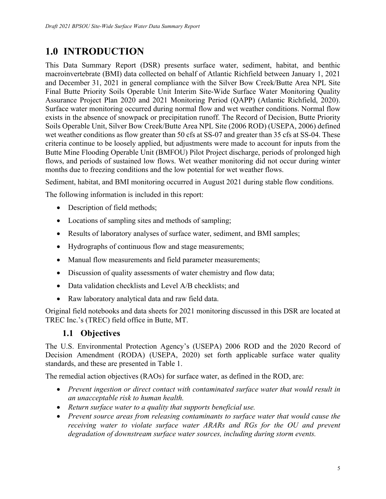# <span id="page-6-0"></span>**1.0 INTRODUCTION**

This Data Summary Report (DSR) presents surface water, sediment, habitat, and benthic macroinvertebrate (BMI) data collected on behalf of Atlantic Richfield between January 1, 2021 and December 31, 2021 in general compliance with the Silver Bow Creek/Butte Area NPL Site Final Butte Priority Soils Operable Unit Interim Site-Wide Surface Water Monitoring Quality Assurance Project Plan 2020 and 2021 Monitoring Period (QAPP) (Atlantic Richfield, 2020). Surface water monitoring occurred during normal flow and wet weather conditions. Normal flow exists in the absence of snowpack or precipitation runoff. The Record of Decision, Butte Priority Soils Operable Unit, Silver Bow Creek/Butte Area NPL Site (2006 ROD) (USEPA, 2006) defined wet weather conditions as flow greater than 50 cfs at SS-07 and greater than 35 cfs at SS-04. These criteria continue to be loosely applied, but adjustments were made to account for inputs from the Butte Mine Flooding Operable Unit (BMFOU) Pilot Project discharge, periods of prolonged high flows, and periods of sustained low flows. Wet weather monitoring did not occur during winter months due to freezing conditions and the low potential for wet weather flows.

Sediment, habitat, and BMI monitoring occurred in August 2021 during stable flow conditions.

The following information is included in this report:

- Description of field methods;
- Locations of sampling sites and methods of sampling;
- Results of laboratory analyses of surface water, sediment, and BMI samples;
- Hydrographs of continuous flow and stage measurements;
- Manual flow measurements and field parameter measurements;
- Discussion of quality assessments of water chemistry and flow data;
- Data validation checklists and Level A/B checklists; and
- Raw laboratory analytical data and raw field data.

Original field notebooks and data sheets for 2021 monitoring discussed in this DSR are located at TREC Inc.'s (TREC) field office in Butte, MT.

### <span id="page-6-1"></span>**1.1 Objectives**

The U.S. Environmental Protection Agency's (USEPA) 2006 ROD and the 2020 Record of Decision Amendment (RODA) (USEPA, 2020) set forth applicable surface water quality standards, and these are presented in [Table 1.](#page-7-0)

The remedial action objectives (RAOs) for surface water, as defined in the ROD, are:

- *Prevent ingestion or direct contact with contaminated surface water that would result in an unacceptable risk to human health.*
- *Return surface water to a quality that supports beneficial use.*
- *Prevent source areas from releasing contaminants to surface water that would cause the receiving water to violate surface water ARARs and RGs for the OU and prevent degradation of downstream surface water sources, including during storm events.*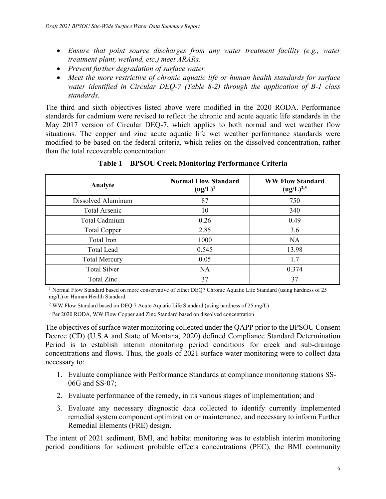- *Ensure that point source discharges from any water treatment facility (e.g., water treatment plant, wetland, etc.) meet ARARs.*
- *Prevent further degradation of surface water.*
- *Meet the more restrictive of chronic aquatic life or human health standards for surface water identified in Circular DEQ-7 (Table 8-2) through the application of B-1 class standards.*

The third and sixth objectives listed above were modified in the 2020 RODA. Performance standards for cadmium were revised to reflect the chronic and acute aquatic life standards in the May 2017 version of Circular DEQ-7, which applies to both normal and wet weather flow situations. The copper and zinc acute aquatic life wet weather performance standards were modified to be based on the federal criteria, which relies on the dissolved concentration, rather than the total recoverable concentration.

| Analyte              | <b>Normal Flow Standard</b><br>$(ug/L)^1$ | <b>WW Flow Standard</b><br>$(ug/L)^{2,3}$ |
|----------------------|-------------------------------------------|-------------------------------------------|
| Dissolved Aluminum   | 87                                        | 750                                       |
| <b>Total Arsenic</b> | 10                                        | 340                                       |
| Total Cadmium        | 0.26                                      | 0.49                                      |
| <b>Total Copper</b>  | 2.85                                      | 3.6                                       |
| Total Iron           | 1000                                      | <b>NA</b>                                 |
| <b>Total Lead</b>    | 0.545                                     | 13.98                                     |
| <b>Total Mercury</b> | 0.05                                      | 1.7                                       |
| <b>Total Silver</b>  | <b>NA</b>                                 | 0.374                                     |
| Total Zinc           | 37                                        | 37                                        |

<span id="page-7-0"></span>**Table 1 – BPSOU Creek Monitoring Performance Criteria**

<sup>1</sup> Normal Flow Standard based on more conservative of either DEQ7 Chronic Aquatic Life Standard (using hardness of 25 mg/L) or Human Health Standard

<sup>2</sup> WW Flow Standard based on DEQ 7 Acute Aquatic Life Standard (using hardness of 25 mg/L)

<sup>3</sup> Per 2020 RODA, WW Flow Copper and Zinc Standard based on dissolved concentration

The objectives of surface water monitoring collected under the QAPP prior to the BPSOU Consent Decree (CD) (U.S.A and State of Montana, 2020) defined Compliance Standard Determination Period is to establish interim monitoring period conditions for creek and sub-drainage concentrations and flows. Thus, the goals of 2021 surface water monitoring were to collect data necessary to:

- 1. Evaluate compliance with Performance Standards at compliance monitoring stations SS-06G and SS-07;
- 2. Evaluate performance of the remedy, in its various stages of implementation; and
- 3. Evaluate any necessary diagnostic data collected to identify currently implemented remedial system component optimization or maintenance, and necessary to inform Further Remedial Elements (FRE) design.

The intent of 2021 sediment, BMI, and habitat monitoring was to establish interim monitoring period conditions for sediment probable effects concentrations (PEC), the BMI community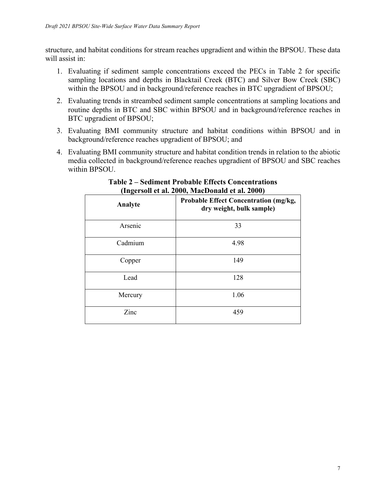structure, and habitat conditions for stream reaches upgradient and within the BPSOU. These data will assist in:

- 1. Evaluating if sediment sample concentrations exceed the PECs in [Table 2](#page-8-0) for specific sampling locations and depths in Blacktail Creek (BTC) and Silver Bow Creek (SBC) within the BPSOU and in background/reference reaches in BTC upgradient of BPSOU;
- 2. Evaluating trends in streambed sediment sample concentrations at sampling locations and routine depths in BTC and SBC within BPSOU and in background/reference reaches in BTC upgradient of BPSOU;
- 3. Evaluating BMI community structure and habitat conditions within BPSOU and in background/reference reaches upgradient of BPSOU; and
- 4. Evaluating BMI community structure and habitat condition trends in relation to the abiotic media collected in background/reference reaches upgradient of BPSOU and SBC reaches within BPSOU.

| Analyte | Probable Effect Concentration (mg/kg,<br>dry weight, bulk sample) |
|---------|-------------------------------------------------------------------|
| Arsenic | 33                                                                |
| Cadmium | 4.98                                                              |
| Copper  | 149                                                               |
| Lead    | 128                                                               |
| Mercury | 1.06                                                              |
| Zinc    | 459                                                               |

#### <span id="page-8-0"></span>**Table 2 – Sediment Probable Effects Concentrations (Ingersoll et al. 2000, MacDonald et al. 2000)**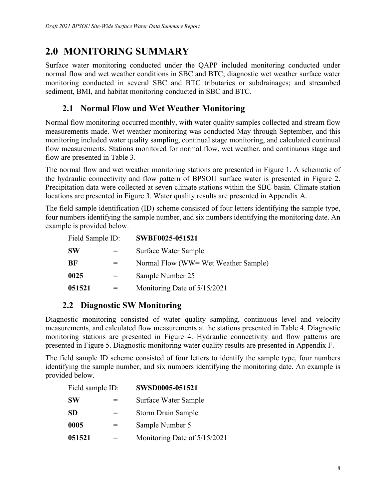# <span id="page-9-0"></span>**2.0 MONITORING SUMMARY**

Surface water monitoring conducted under the QAPP included monitoring conducted under normal flow and wet weather conditions in SBC and BTC; diagnostic wet weather surface water monitoring conducted in several SBC and BTC tributaries or subdrainages; and streambed sediment, BMI, and habitat monitoring conducted in SBC and BTC.

### <span id="page-9-1"></span>**2.1 Normal Flow and Wet Weather Monitoring**

Normal flow monitoring occurred monthly, with water quality samples collected and stream flow measurements made. Wet weather monitoring was conducted May through September, and this monitoring included water quality sampling, continual stage monitoring, and calculated continual flow measurements. Stations monitored for normal flow, wet weather, and continuous stage and flow are presented in Table 3.

The normal flow and wet weather monitoring stations are presented in Figure 1. A schematic of the hydraulic connectivity and flow pattern of BPSOU surface water is presented in Figure 2. Precipitation data were collected at seven climate stations within the SBC basin. Climate station locations are presented in Figure 3. Water quality results are presented in Appendix A.

The field sample identification (ID) scheme consisted of four letters identifying the sample type, four numbers identifying the sample number, and six numbers identifying the monitoring date. An example is provided below.

| Field Sample ID: |     | SWBF0025-051521                      |  |
|------------------|-----|--------------------------------------|--|
| <b>SW</b>        | $=$ | Surface Water Sample                 |  |
| BF               | $=$ | Normal Flow (WW= Wet Weather Sample) |  |
| 0025             | $=$ | Sample Number 25                     |  |
| 051521           |     | Monitoring Date of 5/15/2021         |  |

### <span id="page-9-2"></span>**2.2 Diagnostic SW Monitoring**

Diagnostic monitoring consisted of water quality sampling, continuous level and velocity measurements, and calculated flow measurements at the stations presented in Table 4. Diagnostic monitoring stations are presented in Figure 4. Hydraulic connectivity and flow patterns are presented in Figure 5. Diagnostic monitoring water quality results are presented in Appendix F.

The field sample ID scheme consisted of four letters to identify the sample type, four numbers identifying the sample number, and six numbers identifying the monitoring date. An example is provided below.

| Field sample ID: |     | SWSD0005-051521              |
|------------------|-----|------------------------------|
| <b>SW</b>        | =   | Surface Water Sample         |
| <b>SD</b>        | $=$ | <b>Storm Drain Sample</b>    |
| 0005             | =   | Sample Number 5              |
| 051521           |     | Monitoring Date of 5/15/2021 |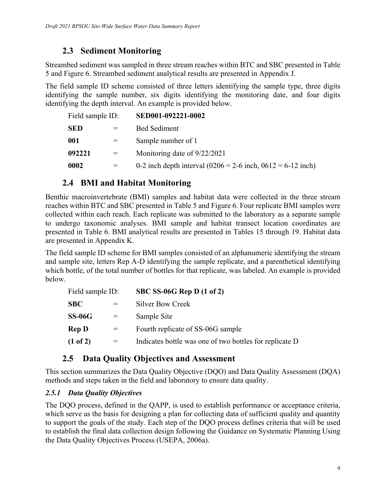### <span id="page-10-0"></span>**2.3 Sediment Monitoring**

Streambed sediment was sampled in three stream reaches within BTC and SBC presented in Table 5 and Figure 6. Streambed sediment analytical results are presented in Appendix J.

The field sample ID scheme consisted of three letters identifying the sample type, three digits identifying the sample number, six digits identifying the monitoring date, and four digits identifying the depth interval. An example is provided below.

| Field sample ID: |     | SED001-092221-0002                                              |
|------------------|-----|-----------------------------------------------------------------|
| SED              |     | <b>Bed Sediment</b>                                             |
| 001              | $=$ | Sample number of 1                                              |
| 092221           | $=$ | Monitoring date of 9/22/2021                                    |
| 0002             |     | 0-2 inch depth interval $(0206 = 2-6$ inch, $0612 = 6-12$ inch) |

### <span id="page-10-1"></span>**2.4 BMI and Habitat Monitoring**

Benthic macroinvertebrate (BMI) samples and habitat data were collected in the three stream reaches within BTC and SBC presented in Table 5 and Figure 6. Four replicate BMI samples were collected within each reach. Each replicate was submitted to the laboratory as a separate sample to undergo taxonomic analyses. BMI sample and habitat transect location coordinates are presented in Table 6. BMI analytical results are presented in Tables 15 through 19. Habitat data are presented in Appendix K.

The field sample ID scheme for BMI samples consisted of an alphanumeric identifying the stream and sample site, letters Rep A-D identifying the sample replicate, and a parenthetical identifying which bottle, of the total number of bottles for that replicate, was labeled. An example is provided below.

| Field sample ID: |     | SBC SS-06G Rep D $(1 \text{ of } 2)$                    |
|------------------|-----|---------------------------------------------------------|
| SBC              |     | <b>Silver Bow Creek</b>                                 |
| SS-06G           | $=$ | Sample Site                                             |
| Rep D            | $=$ | Fourth replicate of SS-06G sample                       |
| (1 of 2)         |     | Indicates bottle was one of two bottles for replicate D |
|                  |     |                                                         |

### <span id="page-10-2"></span>**2.5 Data Quality Objectives and Assessment**

This section summarizes the Data Quality Objective (DQO) and Data Quality Assessment (DQA) methods and steps taken in the field and laboratory to ensure data quality.

#### <span id="page-10-3"></span>*2.5.1 Data Quality Objectives*

The DQO process, defined in the QAPP, is used to establish performance or acceptance criteria, which serve as the basis for designing a plan for collecting data of sufficient quality and quantity to support the goals of the study. Each step of the DQO process defines criteria that will be used to establish the final data collection design following the Guidance on Systematic Planning Using the Data Quality Objectives Process (USEPA, 2006a).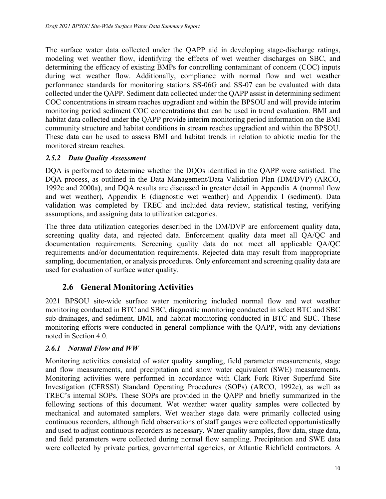The surface water data collected under the QAPP aid in developing stage-discharge ratings, modeling wet weather flow, identifying the effects of wet weather discharges on SBC, and determining the efficacy of existing BMPs for controlling contaminant of concern (COC) inputs during wet weather flow. Additionally, compliance with normal flow and wet weather performance standards for monitoring stations SS-06G and SS-07 can be evaluated with data collected under the QAPP. Sediment data collected under the QAPP assist in determining sediment COC concentrations in stream reaches upgradient and within the BPSOU and will provide interim monitoring period sediment COC concentrations that can be used in trend evaluation. BMI and habitat data collected under the QAPP provide interim monitoring period information on the BMI community structure and habitat conditions in stream reaches upgradient and within the BPSOU. These data can be used to assess BMI and habitat trends in relation to abiotic media for the monitored stream reaches.

#### <span id="page-11-0"></span>*2.5.2 Data Quality Assessment*

DQA is performed to determine whether the DQOs identified in the QAPP were satisfied. The DQA process, as outlined in the Data Management/Data Validation Plan (DM/DVP) (ARCO, 1992c and 2000a), and DQA results are discussed in greater detail in Appendix A (normal flow and wet weather), Appendix E (diagnostic wet weather) and Appendix I (sediment). Data validation was completed by TREC and included data review, statistical testing, verifying assumptions, and assigning data to utilization categories.

The three data utilization categories described in the DM/DVP are enforcement quality data, screening quality data, and rejected data. Enforcement quality data meet all QA/QC and documentation requirements. Screening quality data do not meet all applicable QA/QC requirements and/or documentation requirements. Rejected data may result from inappropriate sampling, documentation, or analysis procedures. Only enforcement and screening quality data are used for evaluation of surface water quality.

### <span id="page-11-1"></span>**2.6 General Monitoring Activities**

2021 BPSOU site-wide surface water monitoring included normal flow and wet weather monitoring conducted in BTC and SBC, diagnostic monitoring conducted in select BTC and SBC sub-drainages, and sediment, BMI, and habitat monitoring conducted in BTC and SBC. These monitoring efforts were conducted in general compliance with the QAPP, with any deviations noted in Section [4.0.](#page-19-1)

#### <span id="page-11-2"></span>*2.6.1 Normal Flow and WW*

Monitoring activities consisted of water quality sampling, field parameter measurements, stage and flow measurements, and precipitation and snow water equivalent (SWE) measurements. Monitoring activities were performed in accordance with Clark Fork River Superfund Site Investigation (CFRSSI) Standard Operating Procedures (SOPs) (ARCO, 1992c), as well as TREC's internal SOPs. These SOPs are provided in the QAPP and briefly summarized in the following sections of this document. Wet weather water quality samples were collected by mechanical and automated samplers. Wet weather stage data were primarily collected using continuous recorders, although field observations of staff gauges were collected opportunistically and used to adjust continuous recorders as necessary. Water quality samples, flow data, stage data, and field parameters were collected during normal flow sampling. Precipitation and SWE data were collected by private parties, governmental agencies, or Atlantic Richfield contractors. A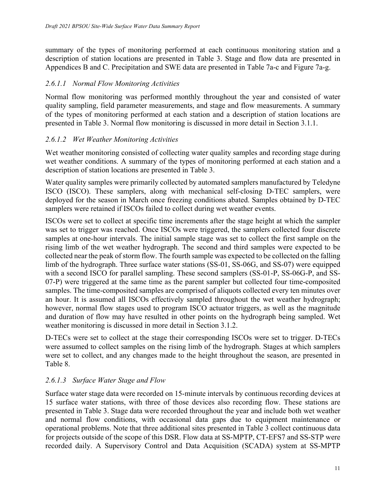summary of the types of monitoring performed at each continuous monitoring station and a description of station locations are presented in Table 3. Stage and flow data are presented in Appendices B and C. Precipitation and SWE data are presented in Table 7a-c and Figure 7a-g.

#### *2.6.1.1 Normal Flow Monitoring Activities*

Normal flow monitoring was performed monthly throughout the year and consisted of water quality sampling, field parameter measurements, and stage and flow measurements. A summary of the types of monitoring performed at each station and a description of station locations are presented in Table 3. Normal flow monitoring is discussed in more detail in Section [3.1.1.](#page-15-2)

#### *2.6.1.2 Wet Weather Monitoring Activities*

Wet weather monitoring consisted of collecting water quality samples and recording stage during wet weather conditions. A summary of the types of monitoring performed at each station and a description of station locations are presented in Table 3.

Water quality samples were primarily collected by automated samplers manufactured by Teledyne ISCO (ISCO). These samplers, along with mechanical self-closing D-TEC samplers, were deployed for the season in March once freezing conditions abated. Samples obtained by D-TEC samplers were retained if ISCOs failed to collect during wet weather events.

ISCOs were set to collect at specific time increments after the stage height at which the sampler was set to trigger was reached. Once ISCOs were triggered, the samplers collected four discrete samples at one-hour intervals. The initial sample stage was set to collect the first sample on the rising limb of the wet weather hydrograph. The second and third samples were expected to be collected near the peak of storm flow. The fourth sample was expected to be collected on the falling limb of the hydrograph. Three surface water stations (SS-01, SS-06G, and SS-07) were equipped with a second ISCO for parallel sampling. These second samplers (SS-01-P, SS-06G-P, and SS-07-P) were triggered at the same time as the parent sampler but collected four time-composited samples. The time-composited samples are comprised of aliquots collected every ten minutes over an hour. It is assumed all ISCOs effectively sampled throughout the wet weather hydrograph; however, normal flow stages used to program ISCO actuator triggers, as well as the magnitude and duration of flow may have resulted in other points on the hydrograph being sampled. Wet weather monitoring is discussed in more detail in Section [3.1.2](#page-16-0).

D-TECs were set to collect at the stage their corresponding ISCOs were set to trigger. D-TECs were assumed to collect samples on the rising limb of the hydrograph. Stages at which samplers were set to collect, and any changes made to the height throughout the season, are presented in Table 8.

#### *2.6.1.3 Surface Water Stage and Flow*

Surface water stage data were recorded on 15-minute intervals by continuous recording devices at 15 surface water stations, with three of those devices also recording flow. These stations are presented in Table 3. Stage data were recorded throughout the year and include both wet weather and normal flow conditions, with occasional data gaps due to equipment maintenance or operational problems. Note that three additional sites presented in Table 3 collect continuous data for projects outside of the scope of this DSR. Flow data at SS-MPTP, CT-EFS7 and SS-STP were recorded daily. A Supervisory Control and Data Acquisition (SCADA) system at SS-MPTP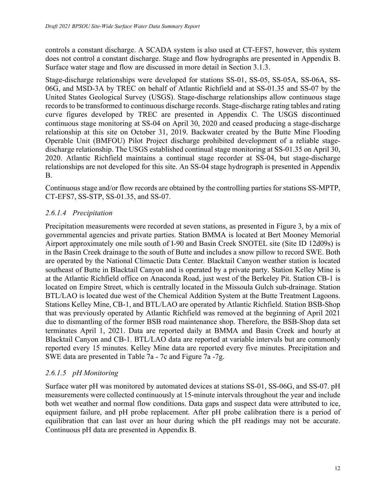controls a constant discharge. A SCADA system is also used at CT-EFS7, however, this system does not control a constant discharge. Stage and flow hydrographs are presented in Appendix B. Surface water stage and flow are discussed in more detail in Section [3.1.3.](#page-16-1)

Stage-discharge relationships were developed for stations SS-01, SS-05, SS-05A, SS-06A, SS-06G, and MSD-3A by TREC on behalf of Atlantic Richfield and at SS-01.35 and SS-07 by the United States Geological Survey (USGS). Stage-discharge relationships allow continuous stage records to be transformed to continuous discharge records. Stage-discharge rating tables and rating curve figures developed by TREC are presented in Appendix C. The USGS discontinued continuous stage monitoring at SS-04 on April 30, 2020 and ceased producing a stage-discharge relationship at this site on October 31, 2019. Backwater created by the Butte Mine Flooding Operable Unit (BMFOU) Pilot Project discharge prohibited development of a reliable stagedischarge relationship. The USGS established continual stage monitoring at SS-01.35 on April 30, 2020. Atlantic Richfield maintains a continual stage recorder at SS-04, but stage-discharge relationships are not developed for this site. An SS-04 stage hydrograph is presented in Appendix B.

Continuous stage and/or flow records are obtained by the controlling parties for stations SS-MPTP, CT-EFS7, SS-STP, SS-01.35, and SS-07.

#### *2.6.1.4 Precipitation*

Precipitation measurements were recorded at seven stations, as presented in Figure 3, by a mix of governmental agencies and private parties. Station BMMA is located at Bert Mooney Memorial Airport approximately one mile south of I-90 and Basin Creek SNOTEL site (Site ID 12d09s) is in the Basin Creek drainage to the south of Butte and includes a snow pillow to record SWE. Both are operated by the National Climactic Data Center. Blacktail Canyon weather station is located southeast of Butte in Blacktail Canyon and is operated by a private party. Station Kelley Mine is at the Atlantic Richfield office on Anaconda Road, just west of the Berkeley Pit. Station CB-1 is located on Empire Street, which is centrally located in the Missoula Gulch sub-drainage. Station BTL/LAO is located due west of the Chemical Addition System at the Butte Treatment Lagoons. Stations Kelley Mine, CB-1, and BTL/LAO are operated by Atlantic Richfield. Station BSB-Shop that was previously operated by Atlantic Richfield was removed at the beginning of April 2021 due to dismantling of the former BSB road maintenance shop. Therefore, the BSB-Shop data set terminates April 1, 2021. Data are reported daily at BMMA and Basin Creek and hourly at Blacktail Canyon and CB-1. BTL/LAO data are reported at variable intervals but are commonly reported every 15 minutes. Kelley Mine data are reported every five minutes. Precipitation and SWE data are presented in Table 7a - 7c and Figure 7a -7g.

#### *2.6.1.5 pH Monitoring*

Surface water pH was monitored by automated devices at stations SS-01, SS-06G, and SS-07. pH measurements were collected continuously at 15-minute intervals throughout the year and include both wet weather and normal flow conditions. Data gaps and suspect data were attributed to ice, equipment failure, and pH probe replacement. After pH probe calibration there is a period of equilibration that can last over an hour during which the pH readings may not be accurate. Continuous pH data are presented in Appendix B.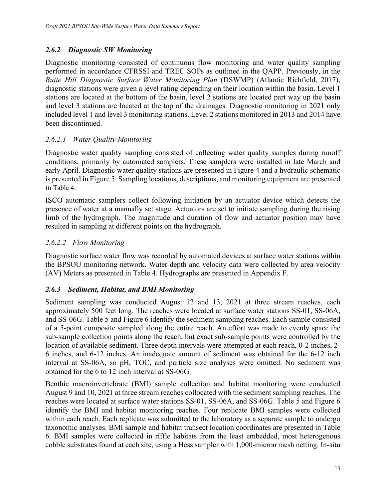#### <span id="page-14-0"></span>*2.6.2 Diagnostic SW Monitoring*

Diagnostic monitoring consisted of continuous flow monitoring and water quality sampling performed in accordance CFRSSI and TREC SOPs as outlined in the QAPP. Previously, in the *Butte Hill Diagnostic Surface Water Monitoring Plan* (DSWMP) (Atlantic Richfield, 2017), diagnostic stations were given a level rating depending on their location within the basin. Level 1 stations are located at the bottom of the basin, level 2 stations are located part way up the basin and level 3 stations are located at the top of the drainages. Diagnostic monitoring in 2021 only included level 1 and level 3 monitoring stations. Level 2 stations monitored in 2013 and 2014 have been discontinued.

#### *2.6.2.1 Water Quality Monitoring*

Diagnostic water quality sampling consisted of collecting water quality samples during runoff conditions, primarily by automated samplers. These samplers were installed in late March and early April. Diagnostic water quality stations are presented in Figure 4 and a hydraulic schematic is presented in Figure 5. Sampling locations, descriptions, and monitoring equipment are presented in Table 4.

ISCO automatic samplers collect following initiation by an actuator device which detects the presence of water at a manually set stage. Actuators are set to initiate sampling during the rising limb of the hydrograph. The magnitude and duration of flow and actuator position may have resulted in sampling at different points on the hydrograph.

#### *2.6.2.2 Flow Monitoring*

Diagnostic surface water flow was recorded by automated devices at surface water stations within the BPSOU monitoring network. Water depth and velocity data were collected by area-velocity (AV) Meters as presented in Table 4. Hydrographs are presented in Appendix F.

#### <span id="page-14-1"></span>*2.6.3 Sediment, Habitat, and BMI Monitoring*

Sediment sampling was conducted August 12 and 13, 2021 at three stream reaches, each approximately 500 feet long. The reaches were located at surface water stations SS-01, SS-06A, and SS-06G. Table 5 and Figure 6 identify the sediment sampling reaches. Each sample consisted of a 5-point composite sampled along the entire reach. An effort was made to evenly space the sub-sample collection points along the reach, but exact sub-sample points were controlled by the location of available sediment. Three depth intervals were attempted at each reach, 0-2 inches, 2- 6 inches, and 6-12 inches. An inadequate amount of sediment was obtained for the 6-12 inch interval at SS-06A, so pH, TOC, and particle size analyses were omitted. No sediment was obtained for the 6 to 12 inch interval at SS-06G.

Benthic macroinvertebrate (BMI) sample collection and habitat monitoring were conducted August 9 and 10, 2021 at three stream reaches collocated with the sediment sampling reaches. The reaches were located at surface water stations SS-01, SS-06A, and SS-06G. Table 5 and Figure 6 identify the BMI and habitat monitoring reaches. Four replicate BMI samples were collected within each reach. Each replicate was submitted to the laboratory as a separate sample to undergo taxonomic analyses. BMI sample and habitat transect location coordinates are presented in Table 6. BMI samples were collected in riffle habitats from the least embedded, most heterogenous cobble substrates found at each site, using a Hess sampler with 1,000-micron mesh netting. In-situ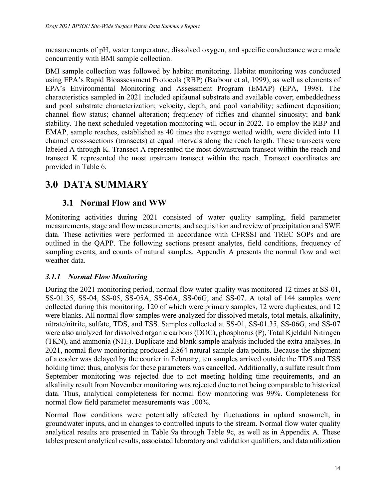measurements of pH, water temperature, dissolved oxygen, and specific conductance were made concurrently with BMI sample collection.

BMI sample collection was followed by habitat monitoring. Habitat monitoring was conducted using EPA's Rapid Bioassessment Protocols (RBP) (Barbour et al, 1999), as well as elements of EPA's Environmental Monitoring and Assessment Program (EMAP) (EPA, 1998). The characteristics sampled in 2021 included epifaunal substrate and available cover; embeddedness and pool substrate characterization; velocity, depth, and pool variability; sediment deposition; channel flow status; channel alteration; frequency of riffles and channel sinuosity; and bank stability. The next scheduled vegetation monitoring will occur in 2022. To employ the RBP and EMAP, sample reaches, established as 40 times the average wetted width, were divided into 11 channel cross-sections (transects) at equal intervals along the reach length. These transects were labeled A through K. Transect A represented the most downstream transect within the reach and transect K represented the most upstream transect within the reach. Transect coordinates are provided in Table 6.

# <span id="page-15-0"></span>**3.0 DATA SUMMARY**

#### <span id="page-15-1"></span>**3.1 Normal Flow and WW**

Monitoring activities during 2021 consisted of water quality sampling, field parameter measurements, stage and flow measurements, and acquisition and review of precipitation and SWE data. These activities were performed in accordance with CFRSSI and TREC SOPs and are outlined in the QAPP. The following sections present analytes, field conditions, frequency of sampling events, and counts of natural samples. Appendix A presents the normal flow and wet weather data.

#### <span id="page-15-2"></span>*3.1.1 Normal Flow Monitoring*

During the 2021 monitoring period, normal flow water quality was monitored 12 times at SS-01, SS-01.35, SS-04, SS-05, SS-05A, SS-06A, SS-06G, and SS-07. A total of 144 samples were collected during this monitoring, 120 of which were primary samples, 12 were duplicates, and 12 were blanks. All normal flow samples were analyzed for dissolved metals, total metals, alkalinity, nitrate/nitrite, sulfate, TDS, and TSS. Samples collected at SS-01, SS-01.35, SS-06G, and SS-07 were also analyzed for dissolved organic carbons (DOC), phosphorus (P), Total Kjeldahl Nitrogen (TKN), and ammonia (NH3). Duplicate and blank sample analysis included the extra analyses. In 2021, normal flow monitoring produced 2,864 natural sample data points. Because the shipment of a cooler was delayed by the courier in February, ten samples arrived outside the TDS and TSS holding time; thus, analysis for these parameters was cancelled. Additionally, a sulfate result from September monitoring was rejected due to not meeting holding time requirements, and an alkalinity result from November monitoring was rejected due to not being comparable to historical data. Thus, analytical completeness for normal flow monitoring was 99%. Completeness for normal flow field parameter measurements was 100%.

Normal flow conditions were potentially affected by fluctuations in upland snowmelt, in groundwater inputs, and in changes to controlled inputs to the stream. Normal flow water quality analytical results are presented in Table 9a through Table 9c, as well as in Appendix A. These tables present analytical results, associated laboratory and validation qualifiers, and data utilization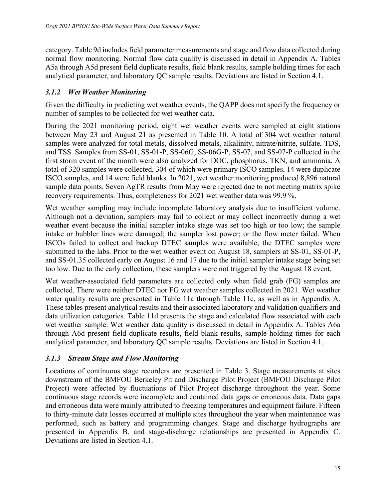category. Table 9d includes field parameter measurements and stage and flow data collected during normal flow monitoring. Normal flow data quality is discussed in detail in Appendix A. Tables A5a through A5d present field duplicate results, field blank results, sample holding times for each analytical parameter, and laboratory QC sample results. Deviations are listed in Section [4.1](#page-19-2).

#### <span id="page-16-0"></span>*3.1.2 Wet Weather Monitoring*

Given the difficulty in predicting wet weather events, the QAPP does not specify the frequency or number of samples to be collected for wet weather data.

During the 2021 monitoring period, eight wet weather events were sampled at eight stations between May 23 and August 21 as presented in Table 10. A total of 304 wet weather natural samples were analyzed for total metals, dissolved metals, alkalinity, nitrate/nitrite, sulfate, TDS, and TSS. Samples from SS-01, SS-01-P, SS-06G, SS-06G-P, SS-07, and SS-07-P collected in the first storm event of the month were also analyzed for DOC, phosphorus, TKN, and ammonia. A total of 320 samples were collected, 304 of which were primary ISCO samples, 14 were duplicate ISCO samples, and 14 were field blanks. In 2021, wet weather monitoring produced 8,896 natural sample data points. Seven AgTR results from May were rejected due to not meeting matrix spike recovery requirements. Thus, completeness for 2021 wet weather data was 99.9 %.

Wet weather sampling may include incomplete laboratory analysis due to insufficient volume. Although not a deviation, samplers may fail to collect or may collect incorrectly during a wet weather event because the initial sampler intake stage was set too high or too low; the sample intake or bubbler lines were damaged; the sampler lost power; or the flow meter failed. When ISCOs failed to collect and backup DTEC samples were available, the DTEC samples were submitted to the labs. Prior to the wet weather event on August 18, samplers at SS-01, SS-01-P, and SS-01.35 collected early on August 16 and 17 due to the initial sampler intake stage being set too low. Due to the early collection, these samplers were not triggered by the August 18 event.

Wet weather-associated field parameters are collected only when field grab (FG) samples are collected. There were neither DTEC nor FG wet weather samples collected in 2021. Wet weather water quality results are presented in Table 11a through Table 11c, as well as in Appendix A. These tables present analytical results and their associated laboratory and validation qualifiers and data utilization categories. Table 11d presents the stage and calculated flow associated with each wet weather sample. Wet weather data quality is discussed in detail in Appendix A. Tables A6a through A6d present field duplicate results, field blank results, sample holding times for each analytical parameter, and laboratory QC sample results. Deviations are listed in Section [4.1](#page-19-2).

#### <span id="page-16-1"></span>*3.1.3 Stream Stage and Flow Monitoring*

Locations of continuous stage recorders are presented in Table 3. Stage measurements at sites downstream of the BMFOU Berkeley Pit and Discharge Pilot Project (BMFOU Discharge Pilot Project) were affected by fluctuations of Pilot Project discharge throughout the year. Some continuous stage records were incomplete and contained data gaps or erroneous data. Data gaps and erroneous data were mainly attributed to freezing temperatures and equipment failure. Fifteen to thirty-minute data losses occurred at multiple sites throughout the year when maintenance was performed, such as battery and programming changes. Stage and discharge hydrographs are presented in Appendix B, and stage-discharge relationships are presented in Appendix C. Deviations are listed in Section [4.1.](#page-19-2)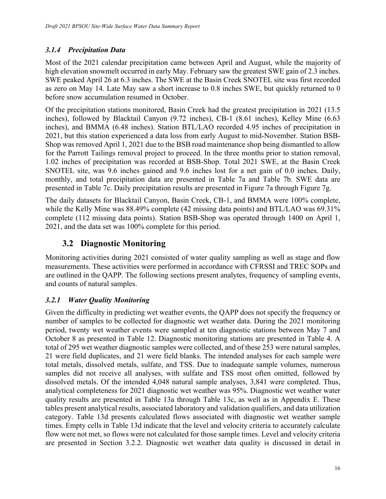#### <span id="page-17-0"></span>*3.1.4 Precipitation Data*

Most of the 2021 calendar precipitation came between April and August, while the majority of high elevation snowmelt occurred in early May. February saw the greatest SWE gain of 2.3 inches. SWE peaked April 26 at 6.3 inches. The SWE at the Basin Creek SNOTEL site was first recorded as zero on May 14. Late May saw a short increase to 0.8 inches SWE, but quickly returned to 0 before snow accumulation resumed in October.

Of the precipitation stations monitored, Basin Creek had the greatest precipitation in 2021 (13.5 inches), followed by Blacktail Canyon (9.72 inches), CB-1 (8.61 inches), Kelley Mine (6.63 inches), and BMMA (6.48 inches). Station BTL/LAO recorded 4.95 inches of precipitation in 2021, but this station experienced a data loss from early August to mid-November. Station BSB-Shop was removed April 1, 2021 due to the BSB road maintenance shop being dismantled to allow for the Parrott Tailings removal project to proceed. In the three months prior to station removal, 1.02 inches of precipitation was recorded at BSB-Shop. Total 2021 SWE, at the Basin Creek SNOTEL site, was 9.6 inches gained and 9.6 inches lost for a net gain of 0.0 inches. Daily, monthly, and total precipitation data are presented in Table 7a and Table 7b. SWE data are presented in Table 7c. Daily precipitation results are presented in Figure 7a through Figure 7g.

The daily datasets for Blacktail Canyon, Basin Creek, CB-1, and BMMA were 100% complete, while the Kelly Mine was 88.49% complete (42 missing data points) and BTL/LAO was 69.31% complete (112 missing data points). Station BSB-Shop was operated through 1400 on April 1, 2021, and the data set was 100% complete for this period.

### <span id="page-17-1"></span>**3.2 Diagnostic Monitoring**

Monitoring activities during 2021 consisted of water quality sampling as well as stage and flow measurements. These activities were performed in accordance with CFRSSI and TREC SOPs and are outlined in the QAPP. The following sections present analytes, frequency of sampling events, and counts of natural samples.

#### <span id="page-17-2"></span>*3.2.1 Water Quality Monitoring*

Given the difficulty in predicting wet weather events, the QAPP does not specify the frequency or number of samples to be collected for diagnostic wet weather data. During the 2021 monitoring period, twenty wet weather events were sampled at ten diagnostic stations between May 7 and October 8 as presented in Table 12. Diagnostic monitoring stations are presented in Table 4. A total of 295 wet weather diagnostic samples were collected, and of these 253 were natural samples, 21 were field duplicates, and 21 were field blanks. The intended analyses for each sample were total metals, dissolved metals, sulfate, and TSS. Due to inadequate sample volumes, numerous samples did not receive all analyses, with sulfate and TSS most often omitted, followed by dissolved metals. Of the intended 4,048 natural sample analyses, 3,841 were completed. Thus, analytical completeness for 2021 diagnostic wet weather was 95%. Diagnostic wet weather water quality results are presented in Table 13a through Table 13c, as well as in Appendix E. These tables present analytical results, associated laboratory and validation qualifiers, and data utilization category. Table 13d presents calculated flows associated with diagnostic wet weather sample times. Empty cells in Table 13d indicate that the level and velocity criteria to accurately calculate flow were not met, so flows were not calculated for those sample times. Level and velocity criteria are presented in Section [3.2.2](#page-18-0). Diagnostic wet weather data quality is discussed in detail in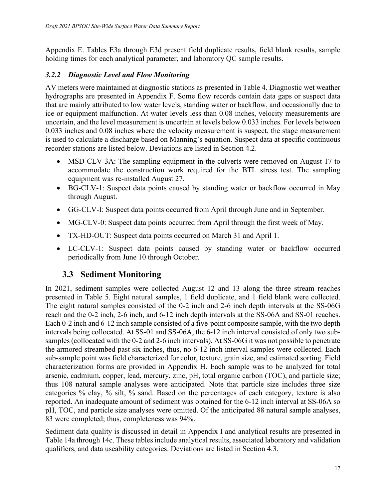Appendix E. Tables E3a through E3d present field duplicate results, field blank results, sample holding times for each analytical parameter, and laboratory QC sample results.

#### <span id="page-18-0"></span>*3.2.2 Diagnostic Level and Flow Monitoring*

AV meters were maintained at diagnostic stations as presented in Table 4. Diagnostic wet weather hydrographs are presented in Appendix F. Some flow records contain data gaps or suspect data that are mainly attributed to low water levels, standing water or backflow, and occasionally due to ice or equipment malfunction. At water levels less than 0.08 inches, velocity measurements are uncertain, and the level measurement is uncertain at levels below 0.033 inches. For levels between 0.033 inches and 0.08 inches where the velocity measurement is suspect, the stage measurement is used to calculate a discharge based on Manning's equation. Suspect data at specific continuous recorder stations are listed below. Deviations are listed in Section [4.2.](#page-20-0)

- MSD-CLV-3A: The sampling equipment in the culverts were removed on August 17 to accommodate the construction work required for the BTL stress test. The sampling equipment was re-installed August 27.
- BG-CLV-1: Suspect data points caused by standing water or backflow occurred in May through August.
- GG-CLV-I: Suspect data points occurred from April through June and in September.
- MG-CLV-0: Suspect data points occurred from April through the first week of May.
- TX-HD-OUT: Suspect data points occurred on March 31 and April 1.
- LC-CLV-1: Suspect data points caused by standing water or backflow occurred periodically from June 10 through October.

### <span id="page-18-1"></span>**3.3 Sediment Monitoring**

In 2021, sediment samples were collected August 12 and 13 along the three stream reaches presented in Table 5. Eight natural samples, 1 field duplicate, and 1 field blank were collected. The eight natural samples consisted of the 0-2 inch and 2-6 inch depth intervals at the SS-06G reach and the 0-2 inch, 2-6 inch, and 6-12 inch depth intervals at the SS-06A and SS-01 reaches. Each 0-2 inch and 6-12 inch sample consisted of a five-point composite sample, with the two depth intervals being collocated. At SS-01 and SS-06A, the 6-12 inch interval consisted of only two subsamples (collocated with the 0-2 and 2-6 inch intervals). At SS-06G it was not possible to penetrate the armored streambed past six inches, thus, no 6-12 inch interval samples were collected. Each sub-sample point was field characterized for color, texture, grain size, and estimated sorting. Field characterization forms are provided in Appendix H. Each sample was to be analyzed for total arsenic, cadmium, copper, lead, mercury, zinc, pH, total organic carbon (TOC), and particle size; thus 108 natural sample analyses were anticipated. Note that particle size includes three size categories % clay, % silt, % sand. Based on the percentages of each category, texture is also reported. An inadequate amount of sediment was obtained for the 6-12 inch interval at SS-06A so pH, TOC, and particle size analyses were omitted. Of the anticipated 88 natural sample analyses, 83 were completed; thus, completeness was 94%.

Sediment data quality is discussed in detail in Appendix I and analytical results are presented in Table 14a through 14c. These tables include analytical results, associated laboratory and validation qualifiers, and data useability categories. Deviations are listed in Section [4.3.](#page-20-1)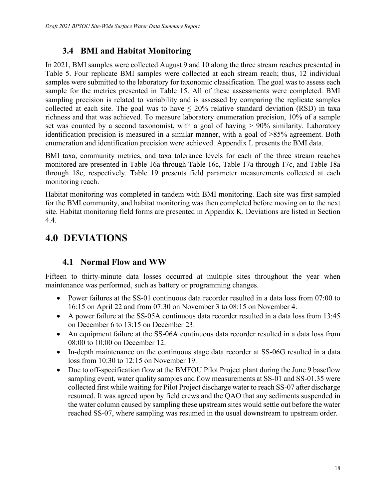### <span id="page-19-0"></span>**3.4 BMI and Habitat Monitoring**

In 2021, BMI samples were collected August 9 and 10 along the three stream reaches presented in Table 5. Four replicate BMI samples were collected at each stream reach; thus, 12 individual samples were submitted to the laboratory for taxonomic classification. The goal was to assess each sample for the metrics presented in Table 15. All of these assessments were completed. BMI sampling precision is related to variability and is assessed by comparing the replicate samples collected at each site. The goal was to have  $\leq 20\%$  relative standard deviation (RSD) in taxa richness and that was achieved. To measure laboratory enumeration precision, 10% of a sample set was counted by a second taxonomist, with a goal of having  $> 90\%$  similarity. Laboratory identification precision is measured in a similar manner, with a goal of >85% agreement. Both enumeration and identification precision were achieved. Appendix L presents the BMI data.

BMI taxa, community metrics, and taxa tolerance levels for each of the three stream reaches monitored are presented in Table 16a through Table 16c, Table 17a through 17c, and Table 18a through 18c, respectively. Table 19 presents field parameter measurements collected at each monitoring reach.

Habitat monitoring was completed in tandem with BMI monitoring. Each site was first sampled for the BMI community, and habitat monitoring was then completed before moving on to the next site. Habitat monitoring field forms are presented in Appendix K. Deviations are listed in Section [4.4](#page-20-2).

# <span id="page-19-1"></span>**4.0 DEVIATIONS**

### <span id="page-19-2"></span>**4.1 Normal Flow and WW**

Fifteen to thirty-minute data losses occurred at multiple sites throughout the year when maintenance was performed, such as battery or programming changes.

- Power failures at the SS-01 continuous data recorder resulted in a data loss from 07:00 to 16:15 on April 22 and from 07:30 on November 3 to 08:15 on November 4.
- A power failure at the SS-05A continuous data recorder resulted in a data loss from 13:45 on December 6 to 13:15 on December 23.
- An equipment failure at the SS-06A continuous data recorder resulted in a data loss from 08:00 to 10:00 on December 12.
- In-depth maintenance on the continuous stage data recorder at SS-06G resulted in a data loss from 10:30 to 12:15 on November 19.
- Due to off-specification flow at the BMFOU Pilot Project plant during the June 9 baseflow sampling event, water quality samples and flow measurements at SS-01 and SS-01.35 were collected first while waiting for Pilot Project discharge water to reach SS-07 after discharge resumed. It was agreed upon by field crews and the QAO that any sediments suspended in the water column caused by sampling these upstream sites would settle out before the water reached SS-07, where sampling was resumed in the usual downstream to upstream order.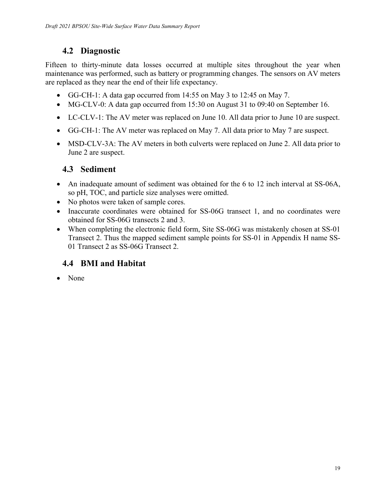### <span id="page-20-0"></span>**4.2 Diagnostic**

Fifteen to thirty-minute data losses occurred at multiple sites throughout the year when maintenance was performed, such as battery or programming changes. The sensors on AV meters are replaced as they near the end of their life expectancy.

- GG-CH-1: A data gap occurred from 14:55 on May 3 to 12:45 on May 7.
- MG-CLV-0: A data gap occurred from 15:30 on August 31 to 09:40 on September 16.
- LC-CLV-1: The AV meter was replaced on June 10. All data prior to June 10 are suspect.
- GG-CH-1: The AV meter was replaced on May 7. All data prior to May 7 are suspect.
- MSD-CLV-3A: The AV meters in both culverts were replaced on June 2. All data prior to June 2 are suspect.

### <span id="page-20-1"></span>**4.3 Sediment**

- An inadequate amount of sediment was obtained for the 6 to 12 inch interval at SS-06A, so pH, TOC, and particle size analyses were omitted.
- No photos were taken of sample cores.
- Inaccurate coordinates were obtained for SS-06G transect 1, and no coordinates were obtained for SS-06G transects 2 and 3.
- When completing the electronic field form, Site SS-06G was mistakenly chosen at SS-01 Transect 2. Thus the mapped sediment sample points for SS-01 in Appendix H name SS-01 Transect 2 as SS-06G Transect 2.

### <span id="page-20-2"></span>**4.4 BMI and Habitat**

• None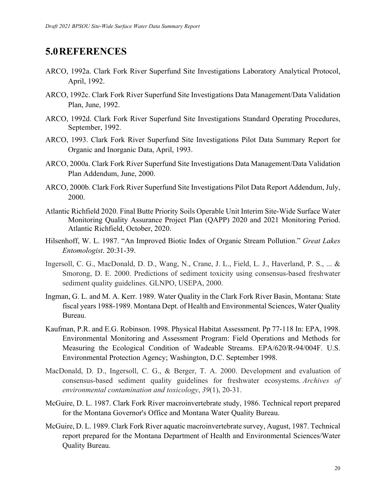### <span id="page-21-0"></span>**5.0REFERENCES**

- ARCO, 1992a. Clark Fork River Superfund Site Investigations Laboratory Analytical Protocol, April, 1992.
- ARCO, 1992c. Clark Fork River Superfund Site Investigations Data Management/Data Validation Plan, June, 1992.
- ARCO, 1992d. Clark Fork River Superfund Site Investigations Standard Operating Procedures, September, 1992.
- ARCO, 1993. Clark Fork River Superfund Site Investigations Pilot Data Summary Report for Organic and Inorganic Data, April, 1993.
- ARCO, 2000a. Clark Fork River Superfund Site Investigations Data Management/Data Validation Plan Addendum, June, 2000.
- ARCO, 2000b. Clark Fork River Superfund Site Investigations Pilot Data Report Addendum, July, 2000.
- Atlantic Richfield 2020. Final Butte Priority Soils Operable Unit Interim Site-Wide Surface Water Monitoring Quality Assurance Project Plan (QAPP) 2020 and 2021 Monitoring Period. Atlantic Richfield, October, 2020.
- Hilsenhoff, W. L. 1987. "An Improved Biotic Index of Organic Stream Pollution." *Great Lakes Entomologist*. 20:31-39.
- Ingersoll, C. G., MacDonald, D. D., Wang, N., Crane, J. L., Field, L. J., Haverland, P. S., ... & Smorong, D. E. 2000. Predictions of sediment toxicity using consensus-based freshwater sediment quality guidelines. GLNPO, USEPA, 2000.
- Ingman, G. L. and M. A. Kerr. 1989. Water Quality in the Clark Fork River Basin, Montana: State fiscal years 1988-1989. Montana Dept. of Health and Environmental Sciences, Water Quality Bureau.
- Kaufman, P.R. and E.G. Robinson. 1998. Physical Habitat Assessment. Pp 77-118 In: EPA, 1998. Environmental Monitoring and Assessment Program: Field Operations and Methods for Measuring the Ecological Condition of Wadeable Streams. EPA/620/R-94/004F. U.S. Environmental Protection Agency; Washington, D.C. September 1998.
- MacDonald, D. D., Ingersoll, C. G., & Berger, T. A. 2000. Development and evaluation of consensus-based sediment quality guidelines for freshwater ecosystems. *Archives of environmental contamination and toxicology*, *39*(1), 20-31.
- McGuire, D. L. 1987. Clark Fork River macroinvertebrate study, 1986. Technical report prepared for the Montana Governor's Office and Montana Water Quality Bureau.
- McGuire, D. L. 1989. Clark Fork River aquatic macroinvertebrate survey, August, 1987. Technical report prepared for the Montana Department of Health and Environmental Sciences/Water Quality Bureau.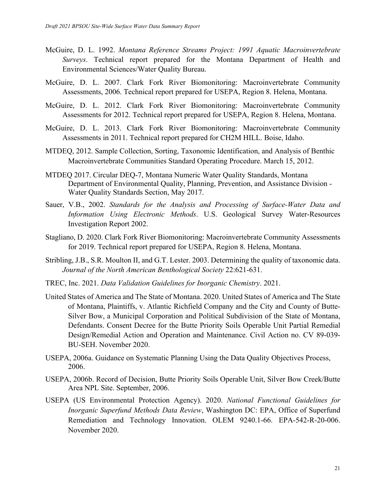- McGuire, D. L. 1992. *Montana Reference Streams Project: 1991 Aquatic Macroinvertebrate Surveys*. Technical report prepared for the Montana Department of Health and Environmental Sciences/Water Quality Bureau.
- McGuire, D. L. 2007. Clark Fork River Biomonitoring: Macroinvertebrate Community Assessments, 2006. Technical report prepared for USEPA, Region 8. Helena, Montana.
- McGuire, D. L. 2012. Clark Fork River Biomonitoring: Macroinvertebrate Community Assessments for 2012. Technical report prepared for USEPA, Region 8. Helena, Montana.
- McGuire, D. L. 2013. Clark Fork River Biomonitoring: Macroinvertebrate Community Assessments in 2011. Technical report prepared for CH2M HILL. Boise, Idaho.
- MTDEQ, 2012. Sample Collection, Sorting, Taxonomic Identification, and Analysis of Benthic Macroinvertebrate Communities Standard Operating Procedure. March 15, 2012.
- MTDEQ 2017. Circular DEQ-7, Montana Numeric Water Quality Standards, Montana Department of Environmental Quality, Planning, Prevention, and Assistance Division - Water Quality Standards Section, May 2017.
- Sauer, V.B., 2002. *Standards for the Analysis and Processing of Surface-Water Data and Information Using Electronic Methods*. U.S. Geological Survey Water-Resources Investigation Report 2002.
- Stagliano, D. 2020. Clark Fork River Biomonitoring: Macroinvertebrate Community Assessments for 2019. Technical report prepared for USEPA, Region 8. Helena, Montana.
- Stribling, J.B., S.R. Moulton II, and G.T. Lester. 2003. Determining the quality of taxonomic data. *Journal of the North American Benthological Society* 22:621-631.
- TREC, Inc. 2021. *Data Validation Guidelines for Inorganic Chemistry*. 2021.
- United States of America and The State of Montana. 2020. United States of America and The State of Montana, Plaintiffs, v. Atlantic Richfield Company and the City and County of Butte-Silver Bow, a Municipal Corporation and Political Subdivision of the State of Montana, Defendants. Consent Decree for the Butte Priority Soils Operable Unit Partial Remedial Design/Remedial Action and Operation and Maintenance. Civil Action no. CV 89-039- BU-SEH. November 2020.
- USEPA, 2006a. Guidance on Systematic Planning Using the Data Quality Objectives Process, 2006.
- USEPA, 2006b. Record of Decision, Butte Priority Soils Operable Unit, Silver Bow Creek/Butte Area NPL Site. September, 2006.
- USEPA (US Environmental Protection Agency). 2020. *National Functional Guidelines for Inorganic Superfund Methods Data Review*, Washington DC: EPA, Office of Superfund Remediation and Technology Innovation. OLEM 9240.1-66. EPA-542-R-20-006. November 2020.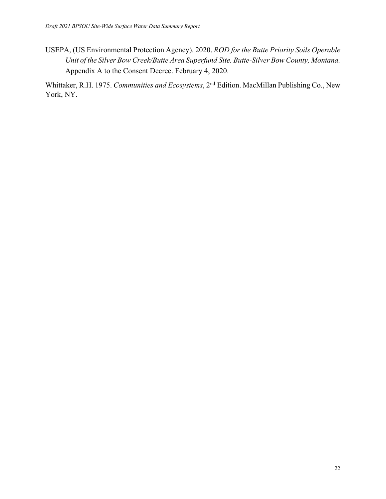USEPA, (US Environmental Protection Agency). 2020. *ROD for the Butte Priority Soils Operable Unit of the Silver Bow Creek/Butte Area Superfund Site. Butte-Silver Bow County, Montana.*  Appendix A to the Consent Decree. February 4, 2020.

Whittaker, R.H. 1975. *Communities and Ecosystems*, 2nd Edition. MacMillan Publishing Co., New York, NY.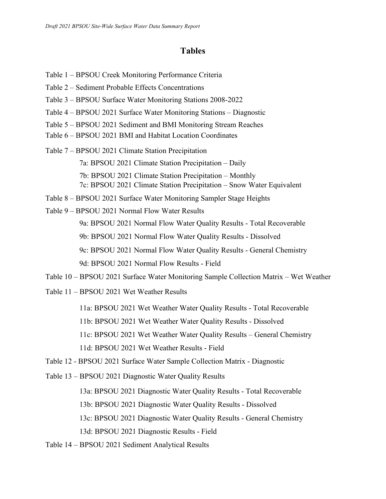#### **Tables**

- Table 1 BPSOU Creek Monitoring Performance Criteria
- Table 2 Sediment Probable Effects Concentrations
- Table 3 BPSOU Surface Water Monitoring Stations 2008-2022
- Table 4 BPSOU 2021 Surface Water Monitoring Stations Diagnostic
- Table 5 BPSOU 2021 Sediment and BMI Monitoring Stream Reaches
- Table 6 BPSOU 2021 BMI and Habitat Location Coordinates
- Table 7 BPSOU 2021 Climate Station Precipitation 7a: BPSOU 2021 Climate Station Precipitation – Daily 7b: BPSOU 2021 Climate Station Precipitation – Monthly 7c: BPSOU 2021 Climate Station Precipitation – Snow Water Equivalent
- Table 8 BPSOU 2021 Surface Water Monitoring Sampler Stage Heights
- Table 9 BPSOU 2021 Normal Flow Water Results

9a: BPSOU 2021 Normal Flow Water Quality Results - Total Recoverable

9b: BPSOU 2021 Normal Flow Water Quality Results - Dissolved

9c: BPSOU 2021 Normal Flow Water Quality Results - General Chemistry

9d: BPSOU 2021 Normal Flow Results - Field

- Table 10 BPSOU 2021 Surface Water Monitoring Sample Collection Matrix Wet Weather
- Table 11 BPSOU 2021 Wet Weather Results
	- 11a: BPSOU 2021 Wet Weather Water Quality Results Total Recoverable
	- 11b: BPSOU 2021 Wet Weather Water Quality Results Dissolved
	- 11c: BPSOU 2021 Wet Weather Water Quality Results General Chemistry

11d: BPSOU 2021 Wet Weather Results - Field

Table 12 - BPSOU 2021 Surface Water Sample Collection Matrix - Diagnostic

Table 13 – BPSOU 2021 Diagnostic Water Quality Results

13a: BPSOU 2021 Diagnostic Water Quality Results - Total Recoverable

13b: BPSOU 2021 Diagnostic Water Quality Results - Dissolved

13c: BPSOU 2021 Diagnostic Water Quality Results - General Chemistry

13d: BPSOU 2021 Diagnostic Results - Field

Table 14 – BPSOU 2021 Sediment Analytical Results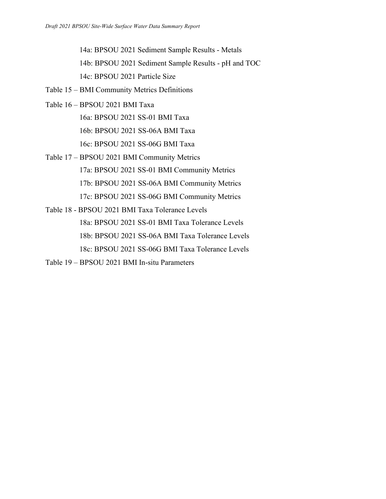14a: BPSOU 2021 Sediment Sample Results - Metals

14b: BPSOU 2021 Sediment Sample Results - pH and TOC

14c: BPSOU 2021 Particle Size

Table 15 – BMI Community Metrics Definitions

Table 16 – BPSOU 2021 BMI Taxa

16a: BPSOU 2021 SS-01 BMI Taxa

16b: BPSOU 2021 SS-06A BMI Taxa

16c: BPSOU 2021 SS-06G BMI Taxa

Table 17 – BPSOU 2021 BMI Community Metrics 17a: BPSOU 2021 SS-01 BMI Community Metrics 17b: BPSOU 2021 SS-06A BMI Community Metrics 17c: BPSOU 2021 SS-06G BMI Community Metrics

Table 18 - BPSOU 2021 BMI Taxa Tolerance Levels 18a: BPSOU 2021 SS-01 BMI Taxa Tolerance Levels 18b: BPSOU 2021 SS-06A BMI Taxa Tolerance Levels 18c: BPSOU 2021 SS-06G BMI Taxa Tolerance Levels

Table 19 – BPSOU 2021 BMI In-situ Parameters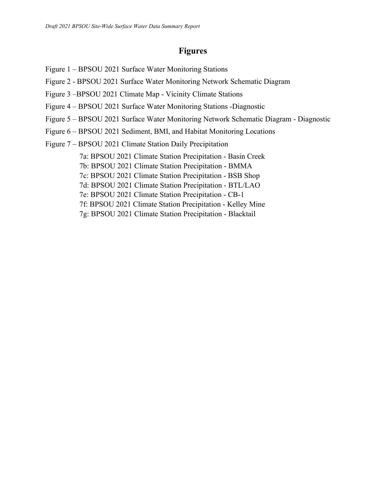#### **Figures**

- Figure 1 BPSOU 2021 Surface Water Monitoring Stations
- Figure 2 BPSOU 2021 Surface Water Monitoring Network Schematic Diagram
- Figure 3 –BPSOU 2021 Climate Map Vicinity Climate Stations
- Figure 4 BPSOU 2021 Surface Water Monitoring Stations -Diagnostic
- Figure 5 BPSOU 2021 Surface Water Monitoring Network Schematic Diagram Diagnostic
- Figure 6 BPSOU 2021 Sediment, BMI, and Habitat Monitoring Locations
- Figure 7 BPSOU 2021 Climate Station Daily Precipitation

7a: BPSOU 2021 Climate Station Precipitation - Basin Creek 7b: BPSOU 2021 Climate Station Precipitation - BMMA 7c: BPSOU 2021 Climate Station Precipitation - BSB Shop 7d: BPSOU 2021 Climate Station Precipitation - BTL/LAO 7e: BPSOU 2021 Climate Station Precipitation - CB-1 7f: BPSOU 2021 Climate Station Precipitation - Kelley Mine

7g: BPSOU 2021 Climate Station Precipitation - Blacktail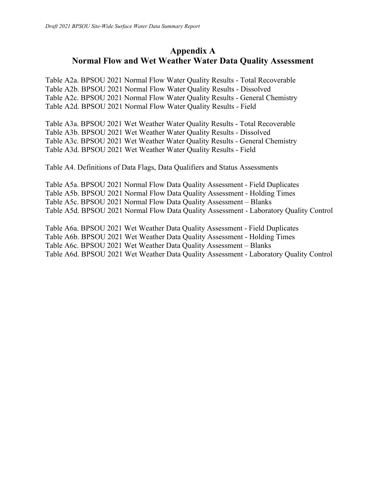### **Appendix A Normal Flow and Wet Weather Water Data Quality Assessment**

Table A2a. BPSOU 2021 Normal Flow Water Quality Results - Total Recoverable Table A2b. BPSOU 2021 Normal Flow Water Quality Results - Dissolved Table A2c. BPSOU 2021 Normal Flow Water Quality Results - General Chemistry Table A2d. BPSOU 2021 Normal Flow Water Quality Results - Field

Table A3a. BPSOU 2021 Wet Weather Water Quality Results - Total Recoverable Table A3b. BPSOU 2021 Wet Weather Water Quality Results - Dissolved Table A3c. BPSOU 2021 Wet Weather Water Quality Results - General Chemistry Table A3d. BPSOU 2021 Wet Weather Water Quality Results - Field

Table A4. Definitions of Data Flags, Data Qualifiers and Status Assessments

Table A5a. BPSOU 2021 Normal Flow Data Quality Assessment - Field Duplicates Table A5b. BPSOU 2021 Normal Flow Data Quality Assessment - Holding Times Table A5c. BPSOU 2021 Normal Flow Data Quality Assessment – Blanks Table A5d. BPSOU 2021 Normal Flow Data Quality Assessment - Laboratory Quality Control

Table A6a. BPSOU 2021 Wet Weather Data Quality Assessment - Field Duplicates Table A6b. BPSOU 2021 Wet Weather Data Quality Assessment - Holding Times Table A6c. BPSOU 2021 Wet Weather Data Quality Assessment – Blanks Table A6d. BPSOU 2021 Wet Weather Data Quality Assessment - Laboratory Quality Control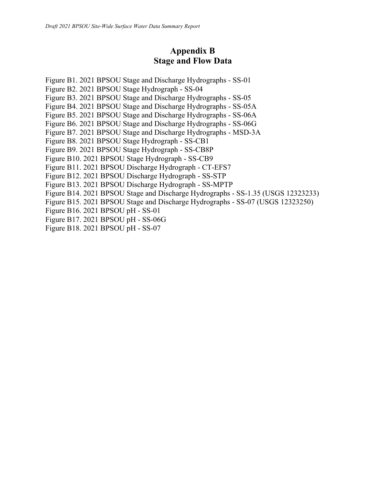### **Appendix B Stage and Flow Data**

Figure B1. 2021 BPSOU Stage and Discharge Hydrographs - SS-01 Figure B2. 2021 BPSOU Stage Hydrograph - SS-04 Figure B3. 2021 BPSOU Stage and Discharge Hydrographs - SS-05 Figure B4. 2021 BPSOU Stage and Discharge Hydrographs - SS-05A Figure B5. 2021 BPSOU Stage and Discharge Hydrographs - SS-06A Figure B6. 2021 BPSOU Stage and Discharge Hydrographs - SS-06G Figure B7. 2021 BPSOU Stage and Discharge Hydrographs - MSD-3A Figure B8. 2021 BPSOU Stage Hydrograph - SS-CB1 Figure B9. 2021 BPSOU Stage Hydrograph - SS-CB8P Figure B10. 2021 BPSOU Stage Hydrograph - SS-CB9 Figure B11. 2021 BPSOU Discharge Hydrograph - CT-EFS7 Figure B12. 2021 BPSOU Discharge Hydrograph - SS-STP Figure B13. 2021 BPSOU Discharge Hydrograph - SS-MPTP Figure B14. 2021 BPSOU Stage and Discharge Hydrographs - SS-1.35 (USGS 12323233) Figure B15. 2021 BPSOU Stage and Discharge Hydrographs - SS-07 (USGS 12323250) Figure B16. 2021 BPSOU pH - SS-01 Figure B17. 2021 BPSOU pH - SS-06G Figure B18. 2021 BPSOU pH - SS-07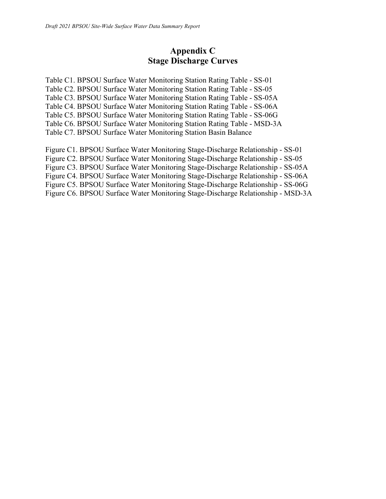### **Appendix C Stage Discharge Curves**

Table C1. BPSOU Surface Water Monitoring Station Rating Table - SS-01 Table C2. BPSOU Surface Water Monitoring Station Rating Table - SS-05 Table C3. BPSOU Surface Water Monitoring Station Rating Table - SS-05A Table C4. BPSOU Surface Water Monitoring Station Rating Table - SS-06A Table C5. BPSOU Surface Water Monitoring Station Rating Table - SS-06G Table C6. BPSOU Surface Water Monitoring Station Rating Table - MSD-3A Table C7. BPSOU Surface Water Monitoring Station Basin Balance

Figure C1. BPSOU Surface Water Monitoring Stage-Discharge Relationship - SS-01 Figure C2. BPSOU Surface Water Monitoring Stage-Discharge Relationship - SS-05 Figure C3. BPSOU Surface Water Monitoring Stage-Discharge Relationship - SS-05A Figure C4. BPSOU Surface Water Monitoring Stage-Discharge Relationship - SS-06A Figure C5. BPSOU Surface Water Monitoring Stage-Discharge Relationship - SS-06G Figure C6. BPSOU Surface Water Monitoring Stage-Discharge Relationship - MSD-3A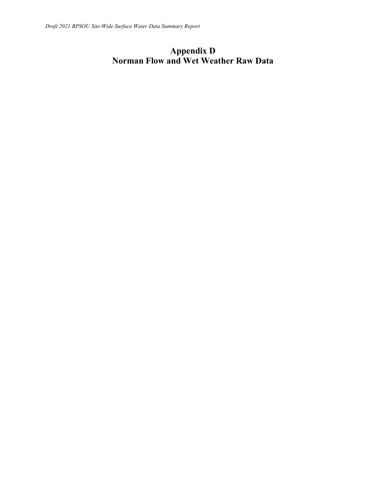## **Appendix D Norman Flow and Wet Weather Raw Data**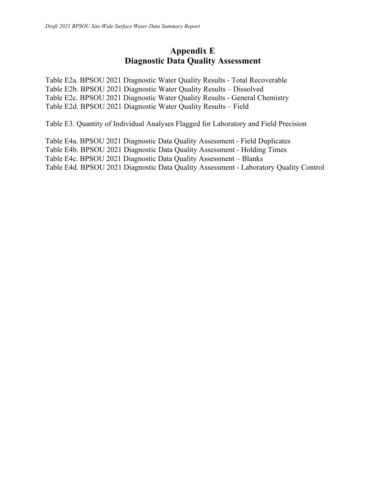### **Appendix E Diagnostic Data Quality Assessment**

Table E2a. BPSOU 2021 Diagnostic Water Quality Results - Total Recoverable Table E2b. BPSOU 2021 Diagnostic Water Quality Results – Dissolved Table E2c. BPSOU 2021 Diagnostic Water Quality Results - General Chemistry Table E2d. BPSOU 2021 Diagnostic Water Quality Results – Field

Table E3. Quantity of Individual Analyses Flagged for Laboratory and Field Precision

Table E4a. BPSOU 2021 Diagnostic Data Quality Assessment - Field Duplicates Table E4b. BPSOU 2021 Diagnostic Data Quality Assessment - Holding Times Table E4c. BPSOU 2021 Diagnostic Data Quality Assessment – Blanks Table E4d. BPSOU 2021 Diagnostic Data Quality Assessment - Laboratory Quality Control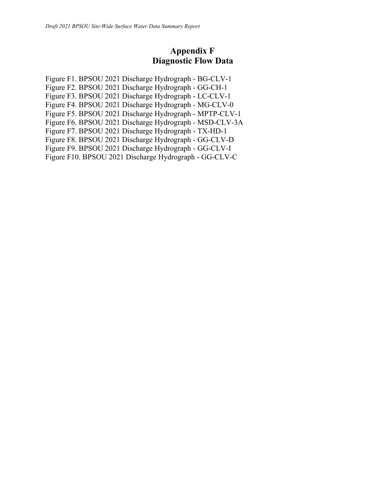### **Appendix F Diagnostic Flow Data**

Figure F1. BPSOU 2021 Discharge Hydrograph - BG-CLV-1 Figure F2. BPSOU 2021 Discharge Hydrograph - GG-CH-1 Figure F3. BPSOU 2021 Discharge Hydrograph - LC-CLV-1 Figure F4. BPSOU 2021 Discharge Hydrograph - MG-CLV-0 Figure F5. BPSOU 2021 Discharge Hydrograph - MPTP-CLV-1 Figure F6. BPSOU 2021 Discharge Hydrograph - MSD-CLV-3A Figure F7. BPSOU 2021 Discharge Hydrograph - TX-HD-1 Figure F8. BPSOU 2021 Discharge Hydrograph - GG-CLV-D Figure F9. BPSOU 2021 Discharge Hydrograph - GG-CLV-I Figure F10. BPSOU 2021 Discharge Hydrograph - GG-CLV-C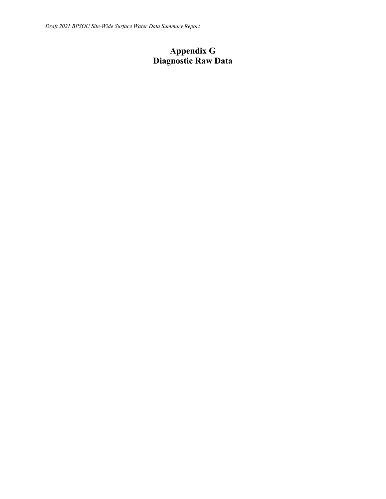# **Appendix G Diagnostic Raw Data**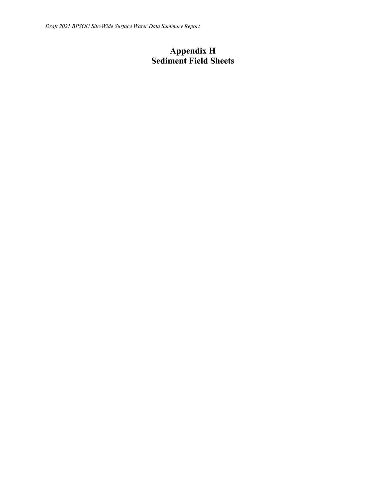### **Appendix H Sediment Field Sheets**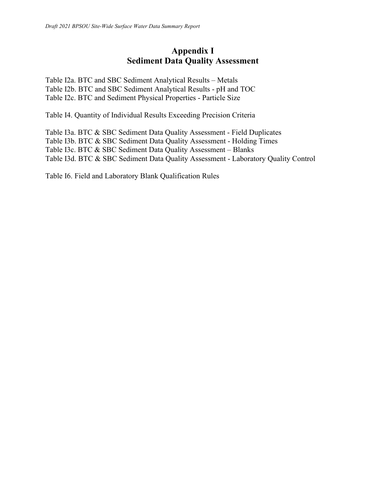### **Appendix I Sediment Data Quality Assessment**

Table I2a. BTC and SBC Sediment Analytical Results – Metals Table I2b. BTC and SBC Sediment Analytical Results - pH and TOC Table I2c. BTC and Sediment Physical Properties - Particle Size

Table I4. Quantity of Individual Results Exceeding Precision Criteria

Table I3a. BTC & SBC Sediment Data Quality Assessment - Field Duplicates Table I3b. BTC & SBC Sediment Data Quality Assessment - Holding Times Table I3c. BTC & SBC Sediment Data Quality Assessment – Blanks Table I3d. BTC & SBC Sediment Data Quality Assessment - Laboratory Quality Control

Table I6. Field and Laboratory Blank Qualification Rules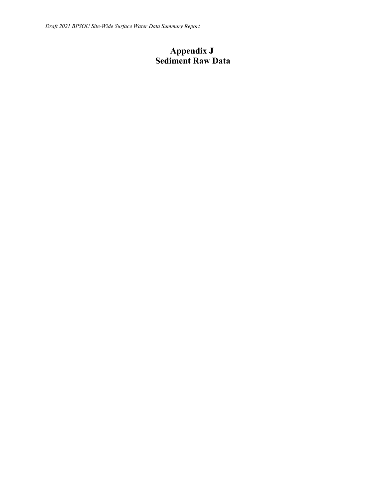### **Appendix J Sediment Raw Data**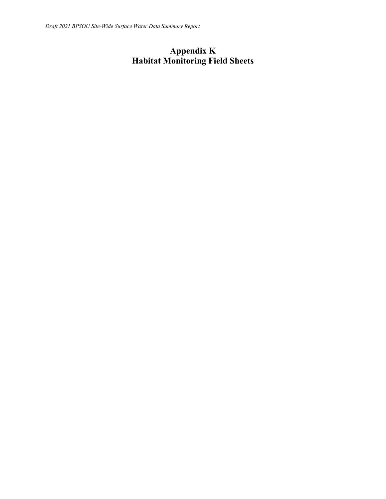# **Appendix K Habitat Monitoring Field Sheets**